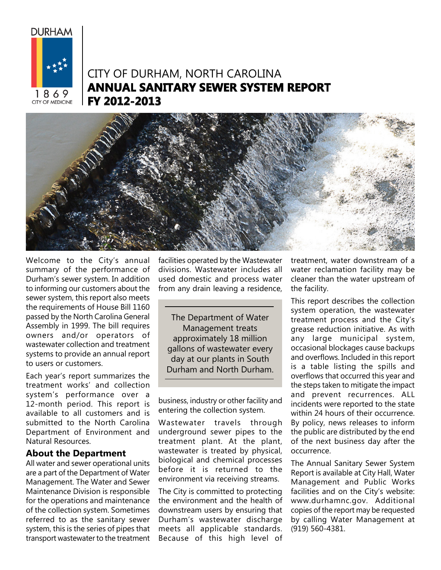

# City of Durham, North Carolina **Annual Sanitary Sewer System Report FY 2012-2013**



Welcome to the City's annual summary of the performance of Durham's sewer system. In addition to informing our customers about the sewer system, this report also meets the requirements of House Bill 1160 passed by the North Carolina General Assembly in 1999. The bill requires owners and/or operators of wastewater collection and treatment systems to provide an annual report to users or customers.

Each year's report summarizes the treatment works' and collection system's performance over a 12-month period. This report is available to all customers and is submitted to the North Carolina Department of Environment and Natural Resources.

#### **About the Department**

All water and sewer operational units are a part of the Department of Water Management. The Water and Sewer Maintenance Division is responsible for the operations and maintenance of the collection system. Sometimes referred to as the sanitary sewer system, this is the series of pipes that transport wastewater to the treatment

facilities operated by the Wastewater divisions. Wastewater includes all used domestic and process water from any drain leaving a residence,

The Department of Water Management treats approximately 18 million gallons of wastewater every day at our plants in South Durham and North Durham.

business, industry or other facility and entering the collection system.

Wastewater travels through underground sewer pipes to the treatment plant. At the plant, wastewater is treated by physical, biological and chemical processes before it is returned to the environment via receiving streams.

The City is committed to protecting the environment and the health of downstream users by ensuring that Durham's wastewater discharge meets all applicable standards. Because of this high level of treatment, water downstream of a water reclamation facility may be cleaner than the water upstream of the facility.

This report describes the collection system operation, the wastewater treatment process and the City's grease reduction initiative. As with any large municipal system, occasional blockages cause backups and overflows. Included in this report is a table listing the spills and overflows that occurred this year and the steps taken to mitigate the impact and prevent recurrences. ALL incidents were reported to the state within 24 hours of their occurrence. By policy, news releases to inform the public are distributed by the end of the next business day after the occurrence.

The Annual Sanitary Sewer System Report is available at City Hall, Water Management and Public Works facilities and on the City's website: www.durhamnc.gov. Additional copies of the report may be requested by calling Water Management at (919) 560-4381.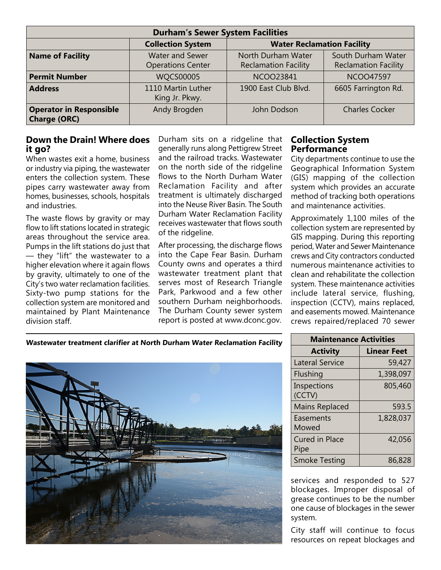| <b>Durham's Sewer System Facilities</b>               |                                                    |                                                   |                                                   |
|-------------------------------------------------------|----------------------------------------------------|---------------------------------------------------|---------------------------------------------------|
|                                                       | <b>Collection System</b>                           | <b>Water Reclamation Facility</b>                 |                                                   |
| <b>Name of Facility</b>                               | <b>Water and Sewer</b><br><b>Operations Center</b> | North Durham Water<br><b>Reclamation Facility</b> | South Durham Water<br><b>Reclamation Facility</b> |
| <b>Permit Number</b>                                  | <b>WQCS00005</b>                                   | <b>NCOO23841</b>                                  | <b>NCOO47597</b>                                  |
| <b>Address</b>                                        | 1110 Martin Luther<br>King Jr. Pkwy.               | 1900 East Club Blvd.                              | 6605 Farrington Rd.                               |
| <b>Operator in Responsible</b><br><b>Charge (ORC)</b> | Andy Brogden                                       | John Dodson                                       | <b>Charles Cocker</b>                             |

### **Down the Drain! Where does it go?**

When wastes exit a home, business or industry via piping, the wastewater enters the collection system. These pipes carry wastewater away from homes, businesses, schools, hospitals and industries.

The waste flows by gravity or may flow to lift stations located in strategic areas throughout the service area. Pumps in the lift stations do just that — they "lift" the wastewater to a higher elevation where it again flows by gravity, ultimately to one of the City's two water reclamation facilities. Sixty-two pump stations for the collection system are monitored and maintained by Plant Maintenance division staff.

Durham sits on a ridgeline that generally runs along Pettigrew Street and the railroad tracks. Wastewater on the north side of the ridgeline flows to the North Durham Water Reclamation Facility and after treatment is ultimately discharged into the Neuse River Basin. The South Durham Water Reclamation Facility receives wastewater that flows south of the ridgeline.

After processing, the discharge flows into the Cape Fear Basin. Durham County owns and operates a third wastewater treatment plant that serves most of Research Triangle Park, Parkwood and a few other southern Durham neighborhoods. The Durham County sewer system report is posted at www.dconc.gov.

### **Collection System Performance**

City departments continue to use the Geographical Information System (GIS) mapping of the collection system which provides an accurate method of tracking both operations and maintenance activities.

Approximately 1,100 miles of the collection system are represented by GIS mapping. During this reporting period, Water and Sewer Maintenance crews and City contractors conducted numerous maintenance activities to clean and rehabilitate the collection system. These maintenance activities include lateral service, flushing, inspection (CCTV), mains replaced, and easements mowed. Maintenance crews repaired/replaced 70 sewer

#### **Wastewater treatment clarifier at North Durham Water Reclamation Facility**



| <b>Maintenance Activities</b> |                    |  |  |
|-------------------------------|--------------------|--|--|
| <b>Activity</b>               | <b>Linear Feet</b> |  |  |
| <b>Lateral Service</b>        | 59,427             |  |  |
| Flushing                      | 1,398,097          |  |  |
| Inspections<br>(CCTV)         | 805,460            |  |  |
| <b>Mains Replaced</b>         | 593.5              |  |  |
| Easements<br>Mowed            | 1,828,037          |  |  |
| <b>Cured in Place</b><br>Pipe | 42,056             |  |  |
| <b>Smoke Testing</b>          | 86,828             |  |  |

services and responded to 527 blockages. Improper disposal of grease continues to be the number one cause of blockages in the sewer system.

City staff will continue to focus resources on repeat blockages and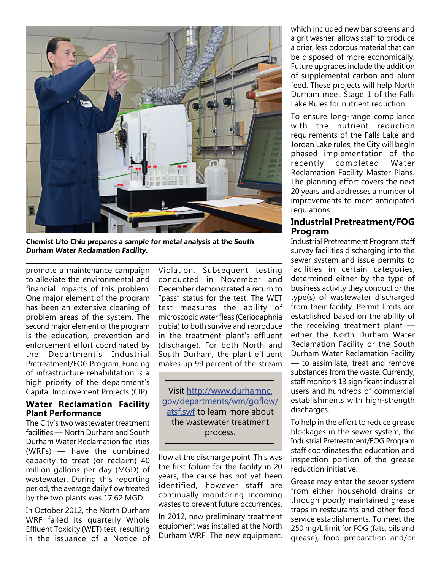

**Chemist Lito Chiu prepares a sample for metal analysis at the South Durham Water Reclamation Facility.** 

promote a maintenance campaign to alleviate the environmental and financial impacts of this problem. One major element of the program has been an extensive cleaning of problem areas of the system. The second major element of the program is the education, prevention and enforcement effort coordinated by the Department's Industrial Pretreatment/FOG Program. Funding of infrastructure rehabilitation is a high priority of the department's Capital Improvement Projects (CIP).

#### **Water Reclamation Facility Plant Performance**

The City's two wastewater treatment facilities — North Durham and South Durham Water Reclamation facilities (WRFs) — have the combined capacity to treat (or reclaim) 40 million gallons per day (MGD) of wastewater. During this reporting period, the average daily flow treated by the two plants was 17.62 MGD.

In October 2012, the North Durham WRF failed its quarterly Whole Effluent Toxicity (WET) test, resulting in the issuance of a Notice of Violation. Subsequent testing conducted in November and December demonstrated a return to "pass" status for the test. The WET test measures the ability of microscopic water fleas (Ceriodaphnia dubia) to both survive and reproduce in the treatment plant's effluent (discharge). For both North and South Durham, the plant effluent makes up 99 percent of the stream

Visit [http://www.durhamnc.](http://www.durhamnc.gov/departments/wm/goflow/atsf.swf) [gov/departments/wm/goflow/](http://www.durhamnc.gov/departments/wm/goflow/atsf.swf) [atsf.swf](http://www.durhamnc.gov/departments/wm/goflow/atsf.swf) to learn more about the wastewater treatment process.

flow at the discharge point. This was the first failure for the facility in 20 years; the cause has not yet been identified, however staff are continually monitoring incoming wastes to prevent future occurrences.

In 2012, new preliminary treatment equipment was installed at the North Durham WRF. The new equipment,

which included new bar screens and a grit washer, allows staff to produce a drier, less odorous material that can be disposed of more economically. Future upgrades include the addition of supplemental carbon and alum feed. These projects will help North Durham meet Stage 1 of the Falls Lake Rules for nutrient reduction.

To ensure long-range compliance with the nutrient reduction requirements of the Falls Lake and Jordan Lake rules, the City will begin phased implementation of the recently completed Water Reclamation Facility Master Plans. The planning effort covers the next 20 years and addresses a number of improvements to meet anticipated regulations.

### **Industrial Pretreatment/FOG Program**

Industrial Pretreatment Program staff survey facilities discharging into the sewer system and issue permits to facilities in certain categories, determined either by the type of business activity they conduct or the type(s) of wastewater discharged from their facility. Permit limits are established based on the ability of the receiving treatment plant either the North Durham Water Reclamation Facility or the South Durham Water Reclamation Facility — to assimilate, treat and remove substances from the waste. Currently, staff monitors 13 significant industrial users and hundreds of commercial establishments with high-strength discharges.

To help in the effort to reduce grease blockages in the sewer system, the Industrial Pretreatment/FOG Program staff coordinates the education and inspection portion of the grease reduction initiative.

Grease may enter the sewer system from either household drains or through poorly maintained grease traps in restaurants and other food service establishments. To meet the 250 mg/L limit for FOG (fats, oils and grease), food preparation and/or